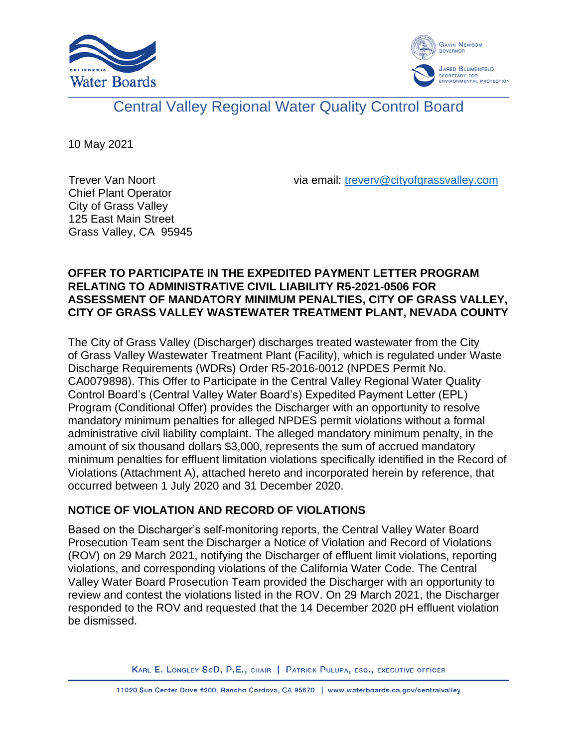



# Central Valley Regional Water Quality Control Board

10 May 2021

via email: [treverv@cityofgrassvalley.com](mailto:treverv@cityofgrassvalley.com)

Trever Van Noort Chief Plant Operator City of Grass Valley 125 East Main Street Grass Valley, CA 95945

## **OFFER TO PARTICIPATE IN THE EXPEDITED PAYMENT LETTER PROGRAM RELATING TO ADMINISTRATIVE CIVIL LIABILITY R5-2021-0506 FOR ASSESSMENT OF MANDATORY MINIMUM PENALTIES, CITY OF GRASS VALLEY, CITY OF GRASS VALLEY WASTEWATER TREATMENT PLANT, NEVADA COUNTY**

The City of Grass Valley (Discharger) discharges treated wastewater from the City of Grass Valley Wastewater Treatment Plant (Facility), which is regulated under Waste Discharge Requirements (WDRs) Order R5-2016-0012 (NPDES Permit No. CA0079898). This Offer to Participate in the Central Valley Regional Water Quality Control Board's (Central Valley Water Board's) Expedited Payment Letter (EPL) Program (Conditional Offer) provides the Discharger with an opportunity to resolve mandatory minimum penalties for alleged NPDES permit violations without a formal administrative civil liability complaint. The alleged mandatory minimum penalty, in the amount of six thousand dollars \$3,000, represents the sum of accrued mandatory minimum penalties for effluent limitation violations specifically identified in the Record of Violations (Attachment A), attached hereto and incorporated herein by reference, that occurred between 1 July 2020 and 31 December 2020.

# **NOTICE OF VIOLATION AND RECORD OF VIOLATIONS**

Based on the Discharger's self-monitoring reports, the Central Valley Water Board Prosecution Team sent the Discharger a Notice of Violation and Record of Violations (ROV) on 29 March 2021, notifying the Discharger of effluent limit violations, reporting violations, and corresponding violations of the California Water Code. The Central Valley Water Board Prosecution Team provided the Discharger with an opportunity to review and contest the violations listed in the ROV. On 29 March 2021, the Discharger responded to the ROV and requested that the 14 December 2020 pH effluent violation be dismissed.

KARL E. LONGLEY SCD, P.E., CHAIR | PATRICK PULUPA, ESQ., EXECUTIVE OFFICER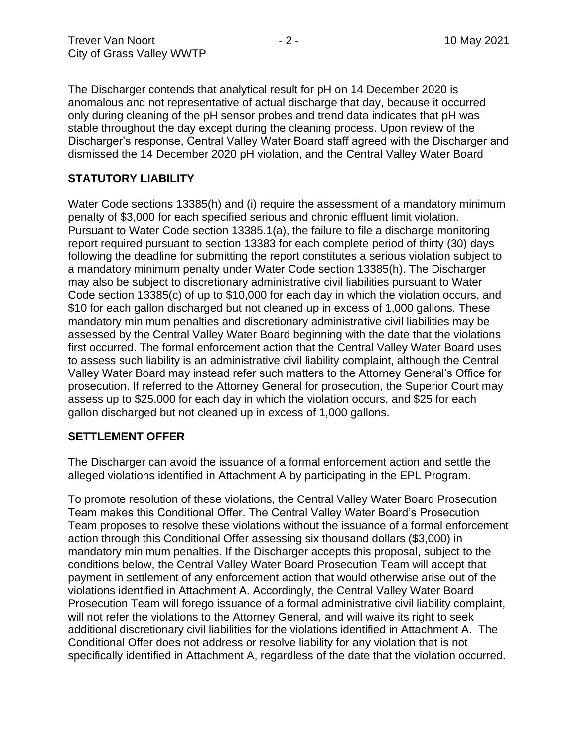The Discharger contends that analytical result for pH on 14 December 2020 is anomalous and not representative of actual discharge that day, because it occurred only during cleaning of the pH sensor probes and trend data indicates that pH was stable throughout the day except during the cleaning process. Upon review of the Discharger's response, Central Valley Water Board staff agreed with the Discharger and dismissed the 14 December 2020 pH violation, and the Central Valley Water Board

## **STATUTORY LIABILITY**

Water Code sections 13385(h) and (i) require the assessment of a mandatory minimum penalty of \$3,000 for each specified serious and chronic effluent limit violation. Pursuant to Water Code section 13385.1(a), the failure to file a discharge monitoring report required pursuant to section 13383 for each complete period of thirty (30) days following the deadline for submitting the report constitutes a serious violation subject to a mandatory minimum penalty under Water Code section 13385(h). The Discharger may also be subject to discretionary administrative civil liabilities pursuant to Water Code section 13385(c) of up to \$10,000 for each day in which the violation occurs, and \$10 for each gallon discharged but not cleaned up in excess of 1,000 gallons. These mandatory minimum penalties and discretionary administrative civil liabilities may be assessed by the Central Valley Water Board beginning with the date that the violations first occurred. The formal enforcement action that the Central Valley Water Board uses to assess such liability is an administrative civil liability complaint, although the Central Valley Water Board may instead refer such matters to the Attorney General's Office for prosecution. If referred to the Attorney General for prosecution, the Superior Court may assess up to \$25,000 for each day in which the violation occurs, and \$25 for each gallon discharged but not cleaned up in excess of 1,000 gallons.

#### **SETTLEMENT OFFER**

The Discharger can avoid the issuance of a formal enforcement action and settle the alleged violations identified in Attachment A by participating in the EPL Program.

To promote resolution of these violations, the Central Valley Water Board Prosecution Team makes this Conditional Offer. The Central Valley Water Board's Prosecution Team proposes to resolve these violations without the issuance of a formal enforcement action through this Conditional Offer assessing six thousand dollars (\$3,000) in mandatory minimum penalties. If the Discharger accepts this proposal, subject to the conditions below, the Central Valley Water Board Prosecution Team will accept that payment in settlement of any enforcement action that would otherwise arise out of the violations identified in Attachment A. Accordingly, the Central Valley Water Board Prosecution Team will forego issuance of a formal administrative civil liability complaint, will not refer the violations to the Attorney General, and will waive its right to seek additional discretionary civil liabilities for the violations identified in Attachment A. The Conditional Offer does not address or resolve liability for any violation that is not specifically identified in Attachment A, regardless of the date that the violation occurred.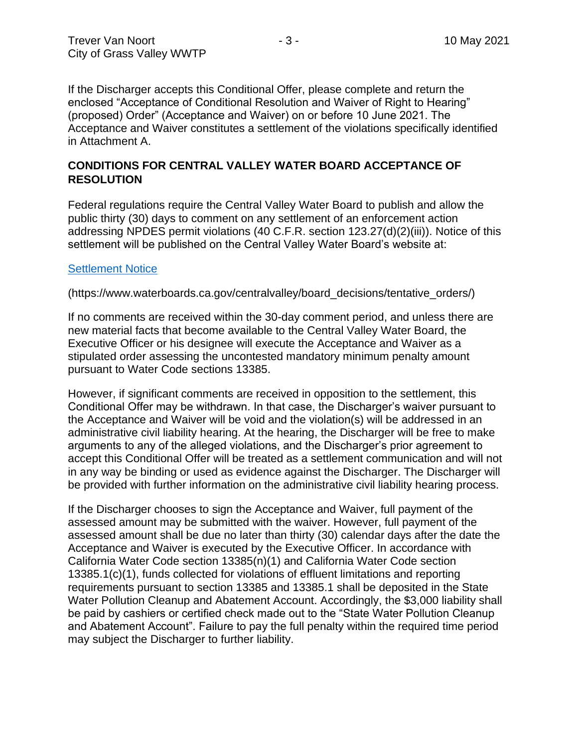If the Discharger accepts this Conditional Offer, please complete and return the enclosed "Acceptance of Conditional Resolution and Waiver of Right to Hearing" (proposed) Order" (Acceptance and Waiver) on or before 10 June 2021. The Acceptance and Waiver constitutes a settlement of the violations specifically identified in Attachment A.

#### **CONDITIONS FOR CENTRAL VALLEY WATER BOARD ACCEPTANCE OF RESOLUTION**

Federal regulations require the Central Valley Water Board to publish and allow the public thirty (30) days to comment on any settlement of an enforcement action addressing NPDES permit violations (40 C.F.R. section 123.27(d)(2)(iii)). Notice of this settlement will be published on the Central Valley Water Board's website at:

#### [Settlement Notice](https://www.waterboards.ca.gov/centralvalley/board_decisions/tentative_orders/)

(https://www.waterboards.ca.gov/centralvalley/board\_decisions/tentative\_orders/)

If no comments are received within the 30-day comment period, and unless there are new material facts that become available to the Central Valley Water Board, the Executive Officer or his designee will execute the Acceptance and Waiver as a stipulated order assessing the uncontested mandatory minimum penalty amount pursuant to Water Code sections 13385.

However, if significant comments are received in opposition to the settlement, this Conditional Offer may be withdrawn. In that case, the Discharger's waiver pursuant to the Acceptance and Waiver will be void and the violation(s) will be addressed in an administrative civil liability hearing. At the hearing, the Discharger will be free to make arguments to any of the alleged violations, and the Discharger's prior agreement to accept this Conditional Offer will be treated as a settlement communication and will not in any way be binding or used as evidence against the Discharger. The Discharger will be provided with further information on the administrative civil liability hearing process.

If the Discharger chooses to sign the Acceptance and Waiver, full payment of the assessed amount may be submitted with the waiver. However, full payment of the assessed amount shall be due no later than thirty (30) calendar days after the date the Acceptance and Waiver is executed by the Executive Officer. In accordance with California Water Code section 13385(n)(1) and California Water Code section 13385.1(c)(1), funds collected for violations of effluent limitations and reporting requirements pursuant to section 13385 and 13385.1 shall be deposited in the State Water Pollution Cleanup and Abatement Account. Accordingly, the \$3,000 liability shall be paid by cashiers or certified check made out to the "State Water Pollution Cleanup and Abatement Account". Failure to pay the full penalty within the required time period may subject the Discharger to further liability.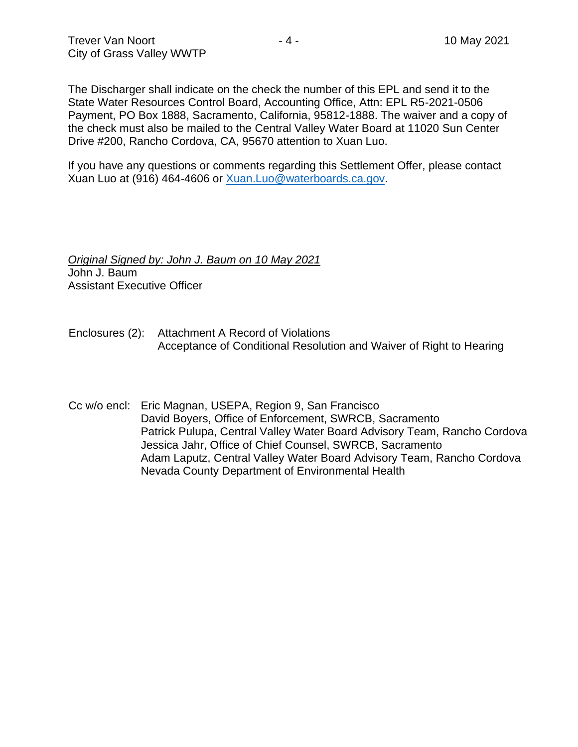The Discharger shall indicate on the check the number of this EPL and send it to the State Water Resources Control Board, Accounting Office, Attn: EPL R5-2021-0506 Payment, PO Box 1888, Sacramento, California, 95812-1888. The waiver and a copy of the check must also be mailed to the Central Valley Water Board at 11020 Sun Center Drive #200, Rancho Cordova, CA, 95670 attention to Xuan Luo.

If you have any questions or comments regarding this Settlement Offer, please contact Xuan Luo at (916) 464-4606 or [Xuan.Luo@waterboards.ca.gov.](mailto:Xuan.Luo@waterboards.ca.gov)

*Original Signed by: John J. Baum on 10 May 2021* John J. Baum Assistant Executive Officer

- Enclosures (2): Attachment A Record of Violations Acceptance of Conditional Resolution and Waiver of Right to Hearing
- Cc w/o encl: Eric Magnan, USEPA, Region 9, San Francisco David Boyers, Office of Enforcement, SWRCB, Sacramento Patrick Pulupa, Central Valley Water Board Advisory Team, Rancho Cordova Jessica Jahr, Office of Chief Counsel, SWRCB, Sacramento Adam Laputz, Central Valley Water Board Advisory Team, Rancho Cordova Nevada County Department of Environmental Health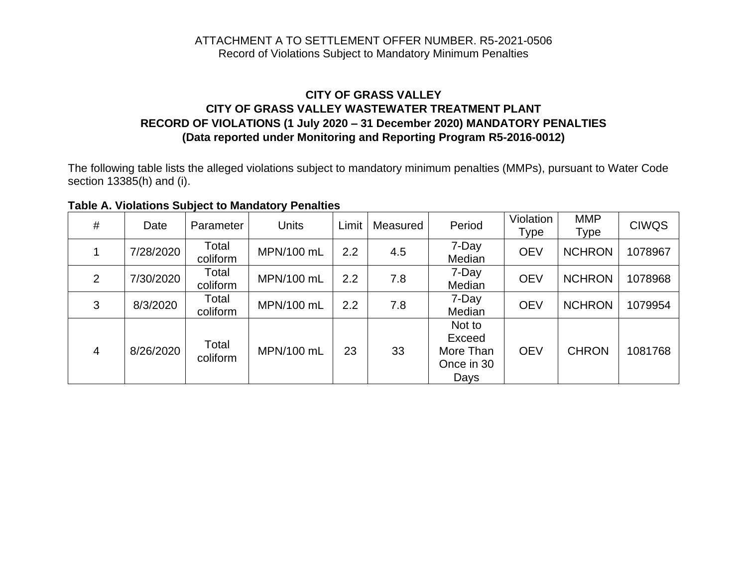#### ATTACHMENT A TO SETTLEMENT OFFER NUMBER. R5-2021-0506 Record of Violations Subject to Mandatory Minimum Penalties

## **CITY OF GRASS VALLEY CITY OF GRASS VALLEY WASTEWATER TREATMENT PLANT RECORD OF VIOLATIONS (1 July 2020 – 31 December 2020) MANDATORY PENALTIES (Data reported under Monitoring and Reporting Program R5-2016-0012)**

The following table lists the alleged violations subject to mandatory minimum penalties (MMPs), pursuant to Water Code section 13385(h) and (i).

**Table A. Violations Subject to Mandatory Penalties** 

| #              | Date      | Parameter         | <b>Units</b> | Limit | Measured | Period                                              | Violation<br><b>Type</b> | <b>MMP</b><br><b>Type</b> | <b>CIWQS</b> |
|----------------|-----------|-------------------|--------------|-------|----------|-----------------------------------------------------|--------------------------|---------------------------|--------------|
|                | 7/28/2020 | Total<br>coliform | MPN/100 mL   | 2.2   | 4.5      | 7-Day<br>Median                                     | <b>OEV</b>               | <b>NCHRON</b>             | 1078967      |
| 2              | 7/30/2020 | Total<br>coliform | MPN/100 mL   | 2.2   | 7.8      | 7-Day<br>Median                                     | <b>OEV</b>               | <b>NCHRON</b>             | 1078968      |
| 3              | 8/3/2020  | Total<br>coliform | MPN/100 mL   | 2.2   | 7.8      | 7-Day<br>Median                                     | <b>OEV</b>               | <b>NCHRON</b>             | 1079954      |
| $\overline{4}$ | 8/26/2020 | Total<br>coliform | MPN/100 mL   | 23    | 33       | Not to<br>Exceed<br>More Than<br>Once in 30<br>Days | <b>OEV</b>               | <b>CHRON</b>              | 1081768      |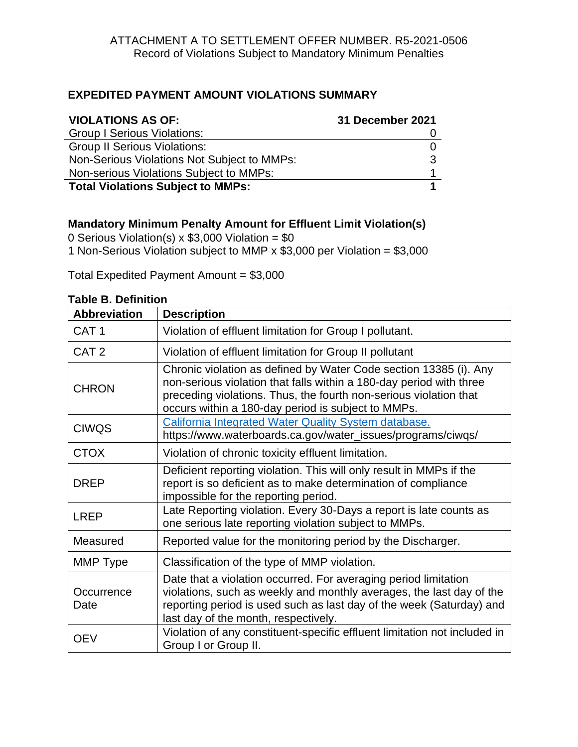## **EXPEDITED PAYMENT AMOUNT VIOLATIONS SUMMARY**

| <b>VIOLATIONS AS OF:</b>                    | 31 December 2021 |
|---------------------------------------------|------------------|
| <b>Group I Serious Violations:</b>          |                  |
| <b>Group II Serious Violations:</b>         |                  |
| Non-Serious Violations Not Subject to MMPs: |                  |
| Non-serious Violations Subject to MMPs:     |                  |
| <b>Total Violations Subject to MMPs:</b>    |                  |

## **Mandatory Minimum Penalty Amount for Effluent Limit Violation(s)**

0 Serious Violation(s)  $x$  \$3,000 Violation = \$0 1 Non-Serious Violation subject to MMP x \$3,000 per Violation = \$3,000

Total Expedited Payment Amount =  $$3,000$ 

| <b>Abbreviation</b> | <b>Description</b>                                                                                                                                                                                                                                                  |
|---------------------|---------------------------------------------------------------------------------------------------------------------------------------------------------------------------------------------------------------------------------------------------------------------|
| CAT <sub>1</sub>    | Violation of effluent limitation for Group I pollutant.                                                                                                                                                                                                             |
| CAT <sub>2</sub>    | Violation of effluent limitation for Group II pollutant                                                                                                                                                                                                             |
| <b>CHRON</b>        | Chronic violation as defined by Water Code section 13385 (i). Any<br>non-serious violation that falls within a 180-day period with three<br>preceding violations. Thus, the fourth non-serious violation that<br>occurs within a 180-day period is subject to MMPs. |
| <b>CIWQS</b>        | California Integrated Water Quality System database.<br>https://www.waterboards.ca.gov/water_issues/programs/ciwqs/                                                                                                                                                 |
| <b>CTOX</b>         | Violation of chronic toxicity effluent limitation.                                                                                                                                                                                                                  |
| <b>DREP</b>         | Deficient reporting violation. This will only result in MMPs if the<br>report is so deficient as to make determination of compliance<br>impossible for the reporting period.                                                                                        |
| <b>LREP</b>         | Late Reporting violation. Every 30-Days a report is late counts as<br>one serious late reporting violation subject to MMPs.                                                                                                                                         |
| Measured            | Reported value for the monitoring period by the Discharger.                                                                                                                                                                                                         |
| MMP Type            | Classification of the type of MMP violation.                                                                                                                                                                                                                        |
| Occurrence<br>Date  | Date that a violation occurred. For averaging period limitation<br>violations, such as weekly and monthly averages, the last day of the<br>reporting period is used such as last day of the week (Saturday) and<br>last day of the month, respectively.             |
| <b>OEV</b>          | Violation of any constituent-specific effluent limitation not included in<br>Group I or Group II.                                                                                                                                                                   |

#### **Table B. Definition**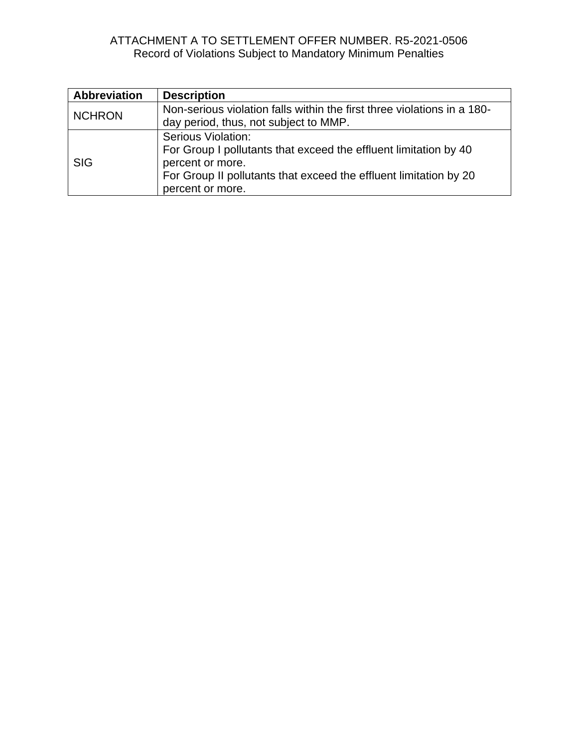# ATTACHMENT A TO SETTLEMENT OFFER NUMBER. R5-2021-0506 Record of Violations Subject to Mandatory Minimum Penalties

| <b>Abbreviation</b> | <b>Description</b>                                                                                                                                                                                         |
|---------------------|------------------------------------------------------------------------------------------------------------------------------------------------------------------------------------------------------------|
| <b>NCHRON</b>       | Non-serious violation falls within the first three violations in a 180-<br>day period, thus, not subject to MMP.                                                                                           |
| <b>SIG</b>          | <b>Serious Violation:</b><br>For Group I pollutants that exceed the effluent limitation by 40<br>percent or more.<br>For Group II pollutants that exceed the effluent limitation by 20<br>percent or more. |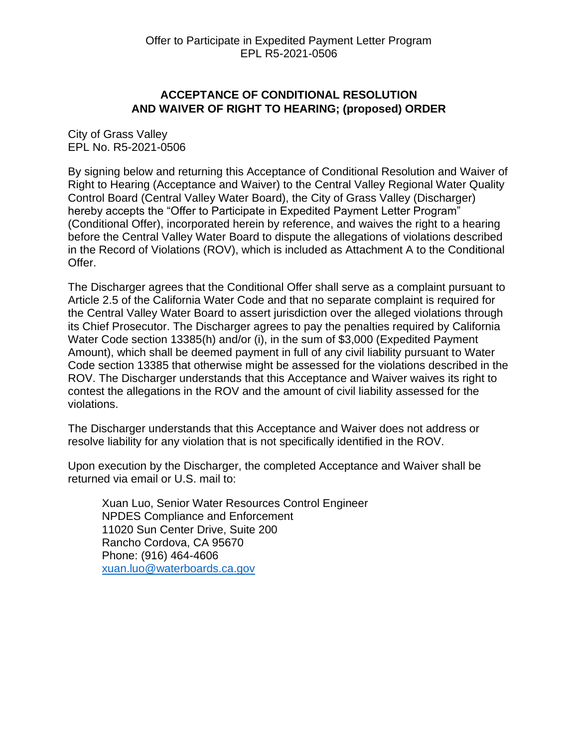## **ACCEPTANCE OF CONDITIONAL RESOLUTION AND WAIVER OF RIGHT TO HEARING; (proposed) ORDER**

City of Grass Valley EPL No. R5-2021-0506

By signing below and returning this Acceptance of Conditional Resolution and Waiver of Right to Hearing (Acceptance and Waiver) to the Central Valley Regional Water Quality Control Board (Central Valley Water Board), the City of Grass Valley (Discharger) hereby accepts the "Offer to Participate in Expedited Payment Letter Program" (Conditional Offer), incorporated herein by reference, and waives the right to a hearing before the Central Valley Water Board to dispute the allegations of violations described in the Record of Violations (ROV), which is included as Attachment A to the Conditional Offer.

The Discharger agrees that the Conditional Offer shall serve as a complaint pursuant to Article 2.5 of the California Water Code and that no separate complaint is required for the Central Valley Water Board to assert jurisdiction over the alleged violations through its Chief Prosecutor. The Discharger agrees to pay the penalties required by California Water Code section 13385(h) and/or (i), in the sum of \$3,000 (Expedited Payment Amount), which shall be deemed payment in full of any civil liability pursuant to Water Code section 13385 that otherwise might be assessed for the violations described in the ROV. The Discharger understands that this Acceptance and Waiver waives its right to contest the allegations in the ROV and the amount of civil liability assessed for the violations.

The Discharger understands that this Acceptance and Waiver does not address or resolve liability for any violation that is not specifically identified in the ROV.

Upon execution by the Discharger, the completed Acceptance and Waiver shall be returned via email or U.S. mail to:

Xuan Luo, Senior Water Resources Control Engineer NPDES Compliance and Enforcement 11020 Sun Center Drive, Suite 200 Rancho Cordova, CA 95670 Phone: (916) 464-4606 [xuan.luo@waterboards.ca.gov](mailto:xuan.luo@waterboards.ca.gov)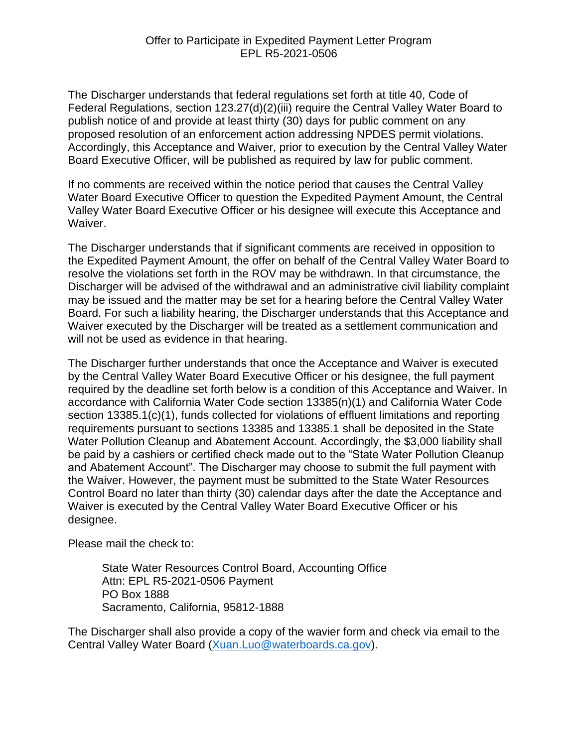The Discharger understands that federal regulations set forth at title 40, Code of Federal Regulations, section 123.27(d)(2)(iii) require the Central Valley Water Board to publish notice of and provide at least thirty (30) days for public comment on any proposed resolution of an enforcement action addressing NPDES permit violations. Accordingly, this Acceptance and Waiver, prior to execution by the Central Valley Water Board Executive Officer, will be published as required by law for public comment.

If no comments are received within the notice period that causes the Central Valley Water Board Executive Officer to question the Expedited Payment Amount, the Central Valley Water Board Executive Officer or his designee will execute this Acceptance and Waiver.

The Discharger understands that if significant comments are received in opposition to the Expedited Payment Amount, the offer on behalf of the Central Valley Water Board to resolve the violations set forth in the ROV may be withdrawn. In that circumstance, the Discharger will be advised of the withdrawal and an administrative civil liability complaint may be issued and the matter may be set for a hearing before the Central Valley Water Board. For such a liability hearing, the Discharger understands that this Acceptance and Waiver executed by the Discharger will be treated as a settlement communication and will not be used as evidence in that hearing.

The Discharger further understands that once the Acceptance and Waiver is executed by the Central Valley Water Board Executive Officer or his designee, the full payment required by the deadline set forth below is a condition of this Acceptance and Waiver. In accordance with California Water Code section 13385(n)(1) and California Water Code section 13385.1(c)(1), funds collected for violations of effluent limitations and reporting requirements pursuant to sections 13385 and 13385.1 shall be deposited in the State Water Pollution Cleanup and Abatement Account. Accordingly, the \$3,000 liability shall be paid by a cashiers or certified check made out to the "State Water Pollution Cleanup and Abatement Account". The Discharger may choose to submit the full payment with the Waiver. However, the payment must be submitted to the State Water Resources Control Board no later than thirty (30) calendar days after the date the Acceptance and Waiver is executed by the Central Valley Water Board Executive Officer or his designee.

Please mail the check to:

State Water Resources Control Board, Accounting Office Attn: EPL R5-2021-0506 Payment PO Box 1888 Sacramento, California, 95812-1888

The Discharger shall also provide a copy of the wavier form and check via email to the Central Valley Water Board [\(Xuan.Luo@waterboards.ca.gov\)](mailto:Xuan.Luo@waterboards.ca.gov).